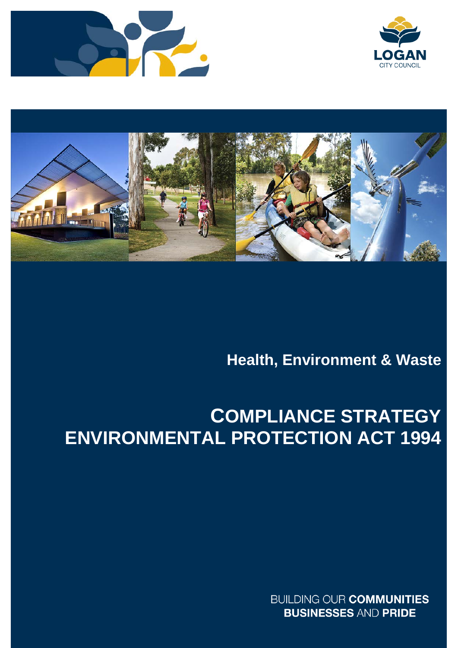





# **Health, Environment & Waste**

# **COMPLIANCE STRATEGY ENVIRONMENTAL PROTECTION ACT 1994**

**BUILDING OUR COMMUNITIES BUSINESSES AND PRIDE**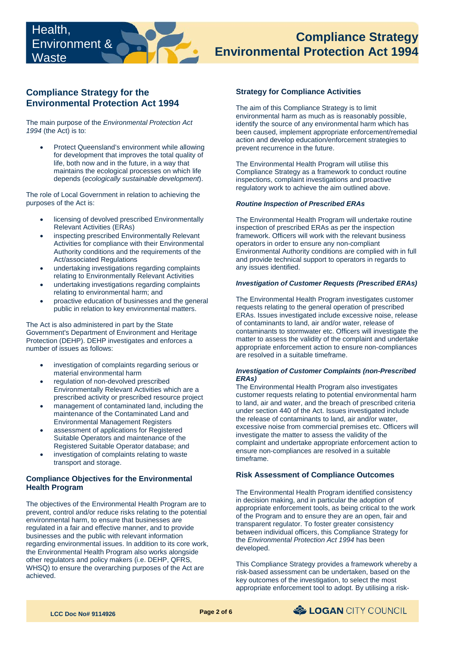# **Environmental Protection Act 1994 Compliance Strategy**

# **Compliance Strategy for the Environmental Protection Act 1994**

The main purpose of the *Environmental Protection Act 1994* (the Act) is to:

 for development that improves the total quality of life, both now and in the future, in a way that • Protect Queensland's environment while allowing maintains the ecological processes on which life depends (*ecologically sustainable development*).

The role of Local Government in relation to achieving the purposes of the Act is:

- licensing of devolved prescribed Environmentally Relevant Activities (ERAs)
- inspecting prescribed Environmentally Relevant Activities for compliance with their Environmental Authority conditions and the requirements of the Act/associated Regulations
- undertaking investigations regarding complaints relating to Environmentally Relevant Activities
- undertaking investigations regarding complaints relating to environmental harm; and
- proactive education of businesses and the general public in relation to key environmental matters.

The Act is also administered in part by the State Government's Department of Environment and Heritage Protection (DEHP). DEHP investigates and enforces a number of issues as follows:

- investigation of complaints regarding serious or material environmental harm
- regulation of non-devolved prescribed Environmentally Relevant Activities which are a prescribed activity or prescribed resource project
- management of contaminated land, including the maintenance of the Contaminated Land and Environmental Management Registers
- assessment of applications for Registered Suitable Operators and maintenance of the Registered Suitable Operator database; and
- investigation of complaints relating to waste transport and storage.

# **Compliance Objectives for the Environmental Health Program**

The objectives of the Environmental Health Program are to prevent, control and/or reduce risks relating to the potential environmental harm, to ensure that businesses are regulated in a fair and effective manner, and to provide businesses and the public with relevant information regarding environmental issues. In addition to its core work, the Environmental Health Program also works alongside other regulators and policy makers (i.e. DEHP, QFRS, WHSQ) to ensure the overarching purposes of the Act are achieved.

# **Strategy for Compliance Activities**

 environmental harm as much as is reasonably possible, The aim of this Compliance Strategy is to limit identify the source of any environmental harm which has been caused, implement appropriate enforcement/remedial action and develop education/enforcement strategies to prevent recurrence in the future.

 The Environmental Health Program will utilise this Compliance Strategy as a framework to conduct routine inspections, complaint investigations and proactive regulatory work to achieve the aim outlined above.

#### *Routine Inspection of Prescribed ERAs*

The Environmental Health Program will undertake routine inspection of prescribed ERAs as per the inspection framework. Officers will work with the relevant business operators in order to ensure any non-compliant Environmental Authority conditions are complied with in full and provide technical support to operators in regards to any issues identified.

#### *Investigation of Customer Requests (Prescribed ERAs)*

The Environmental Health Program investigates customer requests relating to the general operation of prescribed ERAs. Issues investigated include excessive noise, release of contaminants to land, air and/or water, release of contaminants to stormwater etc. Officers will investigate the matter to assess the validity of the complaint and undertake appropriate enforcement action to ensure non-compliances are resolved in a suitable timeframe.

#### *Investigation of Customer Complaints (non-Prescribed ERAs)*

The Environmental Health Program also investigates customer requests relating to potential environmental harm to land, air and water, and the breach of prescribed criteria under section 440 of the Act. Issues investigated include the release of contaminants to land, air and/or water, excessive noise from commercial premises etc. Officers will investigate the matter to assess the validity of the complaint and undertake appropriate enforcement action to ensure non-compliances are resolved in a suitable timeframe.

## **Risk Assessment of Compliance Outcomes**

 appropriate enforcement tools, as being critical to the work The Environmental Health Program identified consistency in decision making, and in particular the adoption of of the Program and to ensure they are an open, fair and transparent regulator. To foster greater consistency between individual officers, this Compliance Strategy for the *Environmental Protection Act 1994* has been developed.

This Compliance Strategy provides a framework whereby a risk-based assessment can be undertaken, based on the key outcomes of the investigation, to select the most appropriate enforcement tool to adopt. By utilising a risk-

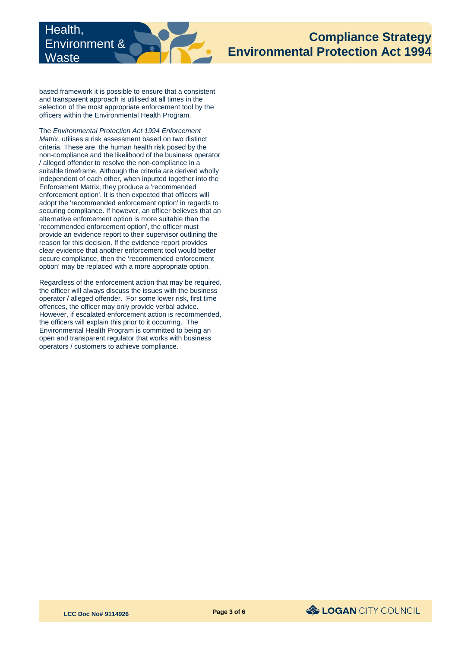

based framework it is possible to ensure that a consistent and transparent approach is utilised at all times in the selection of the most appropriate enforcement tool by the officers within the Environmental Health Program.

 criteria. These are, the human health risk posed by the enforcement option'. It is then expected that officers will alternative enforcement option is more suitable than the provide an evidence report to their supervisor outlining the The *Environmental Protection Act 1994 Enforcement Matrix*, utilises a risk assessment based on two distinct non-compliance and the likelihood of the business operator / alleged offender to resolve the non-compliance in a suitable timeframe. Although the criteria are derived wholly independent of each other, when inputted together into the Enforcement Matrix, they produce a 'recommended adopt the 'recommended enforcement option' in regards to securing compliance. If however, an officer believes that an 'recommended enforcement option', the officer must reason for this decision. If the evidence report provides clear evidence that another enforcement tool would better secure compliance, then the 'recommended enforcement option' may be replaced with a more appropriate option.

Regardless of the enforcement action that may be required, the officer will always discuss the issues with the business operator / alleged offender. For some lower risk, first time offences, the officer may only provide verbal advice. However, if escalated enforcement action is recommended, the officers will explain this prior to it occurring. The Environmental Health Program is committed to being an open and transparent regulator that works with business operators / customers to achieve compliance.

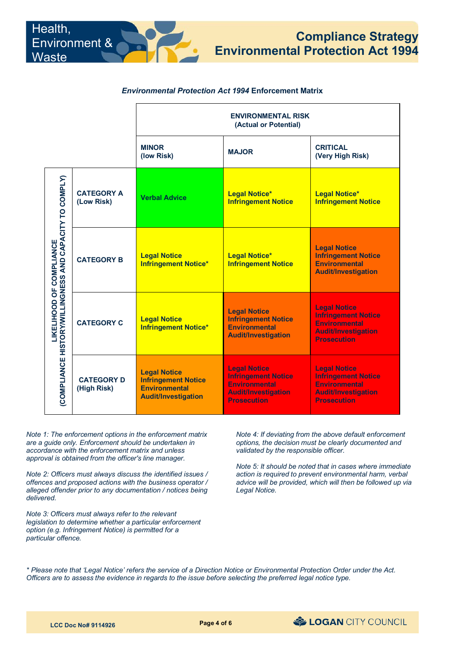# *Environmental Protection Act 1994* **Enforcement Matrix**

|                                                                                               |                                  | <b>ENVIRONMENTAL RISK</b><br>(Actual or Potential)                                                      |                                                                                                                               |                                                                                                                               |
|-----------------------------------------------------------------------------------------------|----------------------------------|---------------------------------------------------------------------------------------------------------|-------------------------------------------------------------------------------------------------------------------------------|-------------------------------------------------------------------------------------------------------------------------------|
|                                                                                               |                                  | <b>MINOR</b><br>(low Risk)                                                                              | <b>MAJOR</b>                                                                                                                  | <b>CRITICAL</b><br>(Very High Risk)                                                                                           |
| AND CAPACITY TO COMPLY)<br><b>LIKELIHOOD OF COMPLIANCE</b><br>(COMPLIANCE HISTORY/WILLINGNESS | <b>CATEGORY A</b><br>(Low Risk)  | <b>Verbal Advice</b>                                                                                    | <b>Legal Notice*</b><br><b>Infringement Notice</b>                                                                            | <b>Legal Notice*</b><br><b>Infringement Notice</b>                                                                            |
|                                                                                               | <b>CATEGORY B</b>                | <b>Legal Notice</b><br><b>Infringement Notice*</b>                                                      | <b>Legal Notice*</b><br><b>Infringement Notice</b>                                                                            | <b>Legal Notice</b><br><b>Infringement Notice</b><br><b>Environmental</b><br><b>Audit/Investigation</b>                       |
|                                                                                               | <b>CATEGORY C</b>                | <b>Legal Notice</b><br><b>Infringement Notice*</b>                                                      | <b>Legal Notice</b><br><b>Infringement Notice</b><br><b>Environmental</b><br><b>Audit/Investigation</b>                       | <b>Legal Notice</b><br><b>Infringement Notice</b><br><b>Environmental</b><br><b>Audit/Investigation</b><br><b>Prosecution</b> |
|                                                                                               | <b>CATEGORY D</b><br>(High Risk) | <b>Legal Notice</b><br><b>Infringement Notice</b><br><b>Environmental</b><br><b>Audit/Investigation</b> | <b>Legal Notice</b><br><b>Infringement Notice</b><br><b>Environmental</b><br><b>Audit/Investigation</b><br><b>Prosecution</b> | <b>Legal Notice</b><br><b>Infringement Notice</b><br><b>Environmental</b><br><b>Audit/Investigation</b><br><b>Prosecution</b> |

*Note 1: The enforcement options in the enforcement matrix are a guide only. Enforcement should be undertaken in accordance with the enforcement matrix and unless approval is obtained from the officer's line manager.*

Health,

<u>Waste</u>

Environment &

*Note 2: Officers must always discuss the identified issues / offences and proposed actions with the business operator / alleged offender prior to any documentation / notices being delivered.*

*Note 3: Officers must always refer to the relevant legislation to determine whether a particular enforcement option (e.g. Infringement Notice) is permitted for a particular offence.*

*Note 4: If deviating from the above default enforcement options, the decision must be clearly documented and validated by the responsible officer.*

*Note 5: It should be noted that in cases where immediate action is required to prevent environmental harm, verbal advice will be provided, which will then be followed up via Legal Notice.*

*\* Please note that 'Legal Notice' refers the service of a Direction Notice or Environmental Protection Order under the Act. Officers are to assess the evidence in regards to the issue before selecting the preferred legal notice type.*

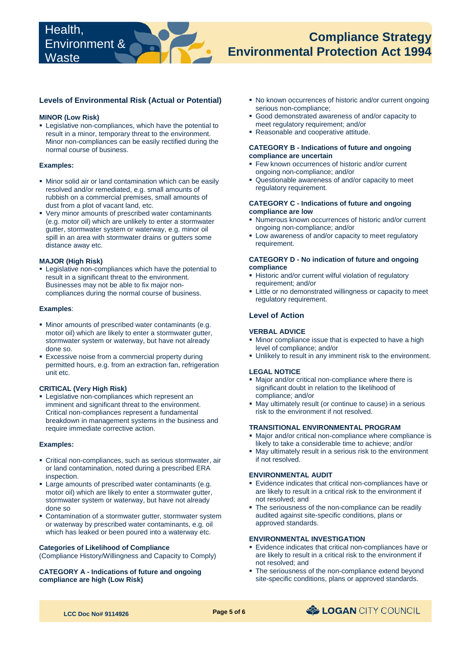## **Levels of Environmental Risk (Actual or Potential)**

#### **MINOR (Low Risk)**

**EXEC** Legislative non-compliances, which have the potential to result in a minor, temporary threat to the environment. Minor non-compliances can be easily rectified during the normal course of business.

#### **Examples:**

- resolved and/or remediated, e.g. small amounts of Minor solid air or land contamination which can be easily rubbish on a commercial premises, small amounts of dust from a plot of vacant land, etc.
- gutter, stormwater system or waterway, e.g. minor oil Very minor amounts of prescribed water contaminants (e.g. motor oil) which are unlikely to enter a stormwater spill in an area with stormwater drains or gutters some distance away etc.

#### **MAJOR (High Risk)**

 Legislative non-compliances which have the potential to result in a significant threat to the environment. Businesses may not be able to fix major noncompliances during the normal course of business.

#### **Examples**:

- Minor amounts of prescribed water contaminants (e.g. motor oil) which are likely to enter a stormwater gutter, stormwater system or waterway, but have not already done so.
- **Excessive noise from a commercial property during** permitted hours, e.g. from an extraction fan, refrigeration unit etc.

#### **CRITICAL (Very High Risk)**

 Legislative non-compliances which represent an imminent and significant threat to the environment. Critical non-compliances represent a fundamental breakdown in management systems in the business and require immediate corrective action.

#### **Examples:**

- Critical non-compliances, such as serious stormwater, air or land contamination, noted during a prescribed ERA inspection.
- Large amounts of prescribed water contaminants (e.g. motor oil) which are likely to enter a stormwater gutter, stormwater system or waterway, but have not already done so
- Contamination of a stormwater gutter, stormwater system or waterway by prescribed water contaminants, e.g. oil which has leaked or been poured into a waterway etc.

#### **Categories of Likelihood of Compliance**

(Compliance History/Willingness and Capacity to Comply)

#### **CATEGORY A - Indications of future and ongoing compliance are high (Low Risk)**

- No known occurrences of historic and/or current ongoing serious non-compliance;
- Good demonstrated awareness of and/or capacity to meet regulatory requirement; and/or
- Reasonable and cooperative attitude.

#### **CATEGORY B - Indications of future and ongoing compliance are uncertain**

- **Few known occurrences of historic and/or current** ongoing non-compliance; and/or
- Questionable awareness of and/or capacity to meet regulatory requirement.

#### **CATEGORY C - Indications of future and ongoing compliance are low**

- Numerous known occurrences of historic and/or current ongoing non-compliance; and/or
- Low awareness of and/or capacity to meet regulatory requirement.

#### **CATEGORY D - No indication of future and ongoing compliance**

- Historic and/or current wilful violation of regulatory requirement; and/or
- Little or no demonstrated willingness or capacity to meet regulatory requirement.

## **Level of Action**

#### **VERBAL ADVICE**

- $\blacksquare$  Minor compliance issue that is expected to have a high level of compliance; and/or
- Unlikely to result in any imminent risk to the environment.

#### **LEGAL NOTICE**

- Major and/or critical non-compliance where there is significant doubt in relation to the likelihood of compliance; and/or
- May ultimately result (or continue to cause) in a serious risk to the environment if not resolved.

#### **TRANSITIONAL ENVIRONMENTAL PROGRAM**

- Major and/or critical non-compliance where compliance is likely to take a considerable time to achieve; and/or
- May ultimately result in a serious risk to the environment if not resolved.

#### **ENVIRONMENTAL AUDIT**

- Evidence indicates that critical non-compliances have or are likely to result in a critical risk to the environment if not resolved; and
- The seriousness of the non-compliance can be readily audited against site-specific conditions, plans or approved standards.

# **ENVIRONMENTAL INVESTIGATION**

- Evidence indicates that critical non-compliances have or are likely to result in a critical risk to the environment if not resolved; and
- The seriousness of the non-compliance extend beyond site-specific conditions, plans or approved standards.